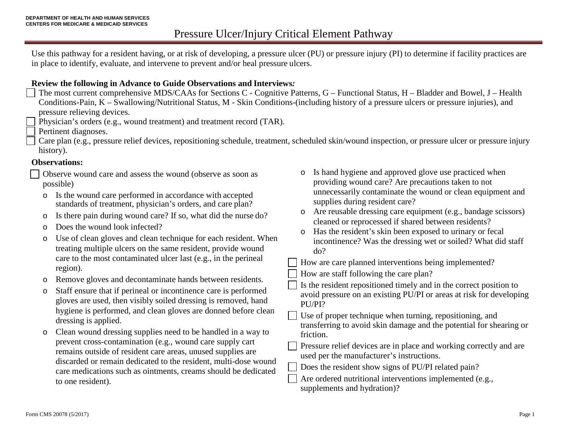Use this pathway for a resident having, or at risk of developing, a pressure ulcer (PU) or pressure injury (PI) to determine if facility practices are in place to identify, evaluate, and intervene to prevent and/or heal pressure ulcers.

### **Review the following in Advance to Guide Observations and Interviews***:*

- The most current comprehensive MDS/CAAs for Sections C Cognitive Patterns, G Functional Status, H Bladder and Bowel, J Health Conditions-Pain, K – Swallowing/Nutritional Status, M - Skin Conditions-(including history of a pressure ulcers or pressure injuries), and pressure relieving devices.
- Physician's orders (e.g., wound treatment) and treatment record (TAR).
- Pertinent diagnoses.
- Care plan (e.g., pressure relief devices, repositioning schedule, treatment, scheduled skin/wound inspection, or pressure ulcer or pressure injury history).

### **Observations:**

- Observe wound care and assess the wound (observe as soon as possible)
- o Is the wound care performed in accordance with accepted standards of treatment, physician's orders, and care plan?
- o Is there pain during wound care? If so, what did the nurse do?
- o Does the wound look infected?
- o Use of clean gloves and clean technique for each resident. When treating multiple ulcers on the same resident, provide wound care to the most contaminated ulcer last (e.g., in the perineal region).
- o Remove gloves and decontaminate hands between residents.
- o Staff ensure that if perineal or incontinence care is performed gloves are used, then visibly soiled dressing is removed, hand hygiene is performed, and clean gloves are donned before clean dressing is applied.
- o Clean wound dressing supplies need to be handled in a way to prevent cross-contamination (e.g., wound care supply cart remains outside of resident care areas, unused supplies are discarded or remain dedicated to the resident, multi-dose wound care medications such as ointments, creams should be dedicated to one resident).
- o Is hand hygiene and approved glove use practiced when providing wound care? Are precautions taken to not unnecessarily contaminate the wound or clean equipment and supplies during resident care?
- o Are reusable dressing care equipment (e.g., bandage scissors) cleaned or reprocessed if shared between residents?
- o Has the resident's skin been exposed to urinary or fecal incontinence? Was the dressing wet or soiled? What did staff do?
- How are care planned interventions being implemented?
- How are staff following the care plan?
- Is the resident repositioned timely and in the correct position to avoid pressure on an existing PU/PI or areas at risk for developing PU/PI?
- Use of proper technique when turning, repositioning, and transferring to avoid skin damage and the potential for shearing or friction.
- Pressure relief devices are in place and working correctly and are used per the manufacturer's instructions.
- Does the resident show signs of PU/PI related pain?
- Are ordered nutritional interventions implemented (e.g., supplements and hydration)?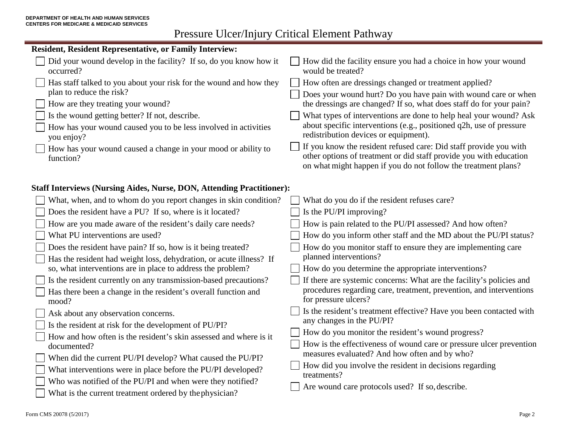# Pressure Ulcer/Injury Critical Element Pathway

| <b>Resident, Resident Representative, or Family Interview:</b>                   |                                                                                                                                                                                                           |
|----------------------------------------------------------------------------------|-----------------------------------------------------------------------------------------------------------------------------------------------------------------------------------------------------------|
| Did your wound develop in the facility? If so, do you know how it<br>occurred?   | How did the facility ensure you had a choice in how your wound<br>would be treated?                                                                                                                       |
| Has staff talked to you about your risk for the wound and how they               | How often are dressings changed or treatment applied?                                                                                                                                                     |
| plan to reduce the risk?                                                         | Does your wound hurt? Do you have pain with wound care or when                                                                                                                                            |
| How are they treating your wound?                                                | the dressings are changed? If so, what does staff do for your pain?                                                                                                                                       |
| Is the wound getting better? If not, describe.                                   | What types of interventions are done to help heal your wound? Ask                                                                                                                                         |
| How has your wound caused you to be less involved in activities<br>you enjoy?    | about specific interventions (e.g., positioned q2h, use of pressure<br>redistribution devices or equipment).                                                                                              |
| How has your wound caused a change in your mood or ability to<br>function?       | If you know the resident refused care: Did staff provide you with<br>other options of treatment or did staff provide you with education<br>on what might happen if you do not follow the treatment plans? |
| <b>Staff Interviews (Nursing Aides, Nurse, DON, Attending Practitioner):</b>     |                                                                                                                                                                                                           |
| What, when, and to whom do you report changes in skin condition?                 | What do you do if the resident refuses care?                                                                                                                                                              |
| Does the resident have a PU? If so, where is it located?                         | Is the PU/PI improving?                                                                                                                                                                                   |
| How are you made aware of the resident's daily care needs?                       | How is pain related to the PU/PI assessed? And how often?                                                                                                                                                 |
| What PU interventions are used?                                                  | How do you inform other staff and the MD about the PU/PI status?                                                                                                                                          |
| Does the resident have pain? If so, how is it being treated?                     | How do you monitor staff to ensure they are implementing care                                                                                                                                             |
| Has the resident had weight loss, dehydration, or acute illness? If              | planned interventions?                                                                                                                                                                                    |
| so, what interventions are in place to address the problem?                      | How do you determine the appropriate interventions?                                                                                                                                                       |
| Is the resident currently on any transmission-based precautions?                 | If there are systemic concerns: What are the facility's policies and                                                                                                                                      |
| Has there been a change in the resident's overall function and                   | procedures regarding care, treatment, prevention, and interventions<br>for pressure ulcers?                                                                                                               |
| mood?                                                                            | Is the resident's treatment effective? Have you been contacted with                                                                                                                                       |
| Ask about any observation concerns.                                              | any changes in the PU/PI?                                                                                                                                                                                 |
| Is the resident at risk for the development of PU/PI?                            | How do you monitor the resident's wound progress?                                                                                                                                                         |
| How and how often is the resident's skin assessed and where is it<br>documented? | How is the effectiveness of wound care or pressure ulcer prevention                                                                                                                                       |
| When did the current PU/PI develop? What caused the PU/PI?                       | measures evaluated? And how often and by who?                                                                                                                                                             |
| What interventions were in place before the PU/PI developed?                     | How did you involve the resident in decisions regarding                                                                                                                                                   |
| Who was notified of the PU/PI and when were they notified?                       | treatments?                                                                                                                                                                                               |
|                                                                                  | Are wound care protocols used? If so, describe.                                                                                                                                                           |
| What is the current treatment ordered by the physician?                          |                                                                                                                                                                                                           |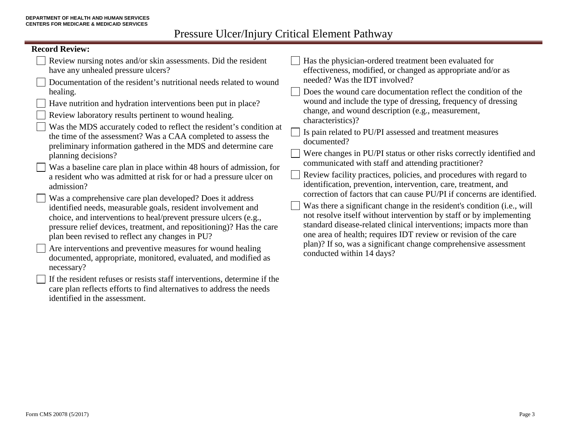Pressure Ulcer/Injury Critical Element Pathway

| <b>Record Review:</b>                                                                                                                                                                                                                                                                                                                        |                                                                                                                                                                                                                                                                                                                                                                                                                                                                                                                                                                                                                                                                 |
|----------------------------------------------------------------------------------------------------------------------------------------------------------------------------------------------------------------------------------------------------------------------------------------------------------------------------------------------|-----------------------------------------------------------------------------------------------------------------------------------------------------------------------------------------------------------------------------------------------------------------------------------------------------------------------------------------------------------------------------------------------------------------------------------------------------------------------------------------------------------------------------------------------------------------------------------------------------------------------------------------------------------------|
| Review nursing notes and/or skin assessments. Did the resident<br>have any unhealed pressure ulcers?<br>Documentation of the resident's nutritional needs related to wound                                                                                                                                                                   | Has the physician-ordered treatment been evaluated for<br>effectiveness, modified, or changed as appropriate and/or as<br>needed? Was the IDT involved?                                                                                                                                                                                                                                                                                                                                                                                                                                                                                                         |
| healing.<br>Have nutrition and hydration interventions been put in place?<br>Review laboratory results pertinent to wound healing.<br>Was the MDS accurately coded to reflect the resident's condition at<br>the time of the assessment? Was a CAA completed to assess the<br>preliminary information gathered in the MDS and determine care | Does the wound care documentation reflect the condition of the<br>wound and include the type of dressing, frequency of dressing<br>change, and wound description (e.g., measurement,<br>characteristics)?<br>Is pain related to PU/PI assessed and treatment measures<br>documented?<br>Were changes in PU/PI status or other risks correctly identified and                                                                                                                                                                                                                                                                                                    |
| planning decisions?<br>Was a baseline care plan in place within 48 hours of admission, for<br>a resident who was admitted at risk for or had a pressure ulcer on<br>admission?                                                                                                                                                               | communicated with staff and attending practitioner?<br>Review facility practices, policies, and procedures with regard to<br>identification, prevention, intervention, care, treatment, and<br>correction of factors that can cause PU/PI if concerns are identified.<br>Was there a significant change in the resident's condition (i.e., will<br>not resolve itself without intervention by staff or by implementing<br>standard disease-related clinical interventions; impacts more than<br>one area of health; requires IDT review or revision of the care<br>plan)? If so, was a significant change comprehensive assessment<br>conducted within 14 days? |
| Was a comprehensive care plan developed? Does it address<br>identified needs, measurable goals, resident involvement and<br>choice, and interventions to heal/prevent pressure ulcers (e.g.,<br>pressure relief devices, treatment, and repositioning)? Has the care<br>plan been revised to reflect any changes in PU?                      |                                                                                                                                                                                                                                                                                                                                                                                                                                                                                                                                                                                                                                                                 |
| Are interventions and preventive measures for wound healing<br>documented, appropriate, monitored, evaluated, and modified as<br>necessary?                                                                                                                                                                                                  |                                                                                                                                                                                                                                                                                                                                                                                                                                                                                                                                                                                                                                                                 |
| If the resident refuses or resists staff interventions, determine if the                                                                                                                                                                                                                                                                     |                                                                                                                                                                                                                                                                                                                                                                                                                                                                                                                                                                                                                                                                 |

care plan reflects efforts to find alternatives to address the needs identified in the assessment.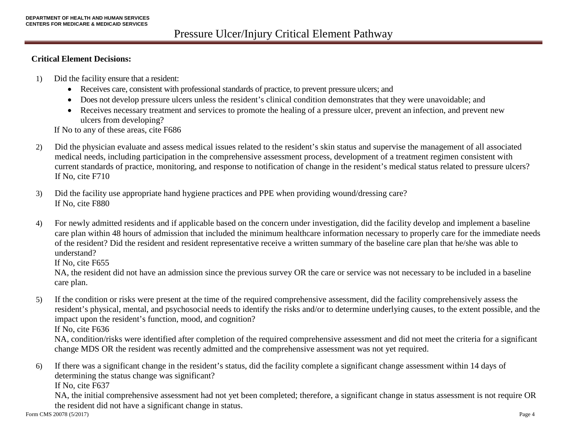#### **Critical Element Decisions:**

- 1) Did the facility ensure that a resident:
	- Receives care, consistent with professional standards of practice, to prevent pressure ulcers; and
	- Does not develop pressure ulcers unless the resident's clinical condition demonstrates that they were unavoidable; and
	- Receives necessary treatment and services to promote the healing of a pressure ulcer, prevent an infection, and prevent new ulcers from developing?

If No to any of these areas, cite F686

- 2) Did the physician evaluate and assess medical issues related to the resident's skin status and supervise the management of all associated medical needs, including participation in the comprehensive assessment process, development of a treatment regimen consistent with current standards of practice, monitoring, and response to notification of change in the resident's medical status related to pressure ulcers? If No, cite F710
- 3) Did the facility use appropriate hand hygiene practices and PPE when providing wound/dressing care? If No, cite F880
- 4) For newly admitted residents and if applicable based on the concern under investigation, did the facility develop and implement a baseline care plan within 48 hours of admission that included the minimum healthcare information necessary to properly care for the immediate needs of the resident? Did the resident and resident representative receive a written summary of the baseline care plan that he/she was able to understand?

If No, cite F655

NA, the resident did not have an admission since the previous survey OR the care or service was not necessary to be included in a baseline care plan.

5) If the condition or risks were present at the time of the required comprehensive assessment, did the facility comprehensively assess the resident's physical, mental, and psychosocial needs to identify the risks and/or to determine underlying causes, to the extent possible, and the impact upon the resident's function, mood, and cognition?

If No, cite F636

NA, condition/risks were identified after completion of the required comprehensive assessment and did not meet the criteria for a significant change MDS OR the resident was recently admitted and the comprehensive assessment was not yet required.

6) If there was a significant change in the resident's status, did the facility complete a significant change assessment within 14 days of determining the status change was significant? If No, cite F637

NA, the initial comprehensive assessment had not yet been completed; therefore, a significant change in status assessment is not require OR the resident did not have a significant change in status.